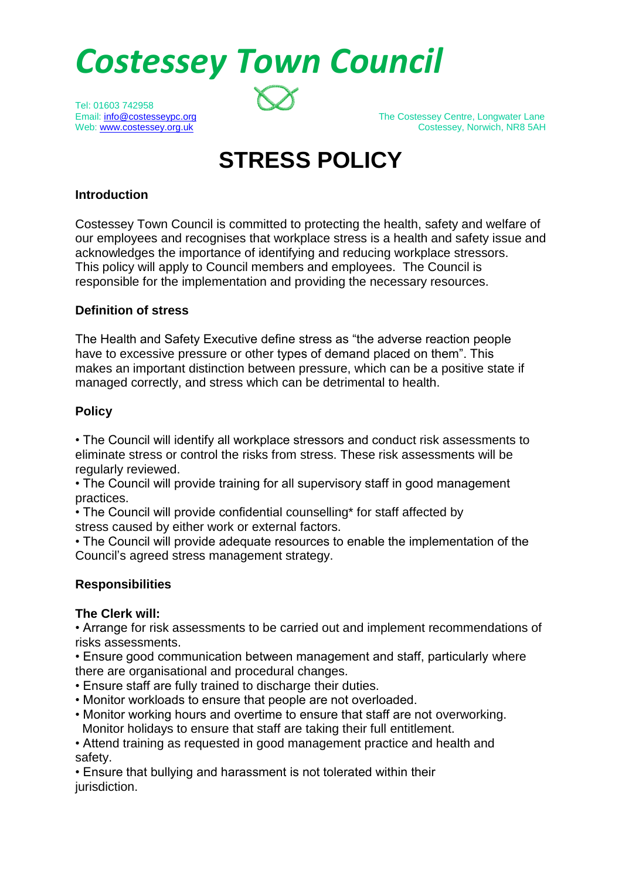*Costessey Town Council* 

Tel: 01603 742958

Email: info@costesseypc.org intervalsed and the Costessey Centre, Longwater Lane<br>Meb: www.costessey.org.uk intervalsed and the Costessey, Norwich, NR8 5AH Costessey, Norwich, NR8 5AH

# **STRESS POLICY**

## **Introduction**

Costessey Town Council is committed to protecting the health, safety and welfare of our employees and recognises that workplace stress is a health and safety issue and acknowledges the importance of identifying and reducing workplace stressors. This policy will apply to Council members and employees. The Council is responsible for the implementation and providing the necessary resources.

# **Definition of stress**

The Health and Safety Executive define stress as "the adverse reaction people have to excessive pressure or other types of demand placed on them". This makes an important distinction between pressure, which can be a positive state if managed correctly, and stress which can be detrimental to health.

# **Policy**

• The Council will identify all workplace stressors and conduct risk assessments to eliminate stress or control the risks from stress. These risk assessments will be regularly reviewed.

• The Council will provide training for all supervisory staff in good management practices.

• The Council will provide confidential counselling\* for staff affected by stress caused by either work or external factors.

• The Council will provide adequate resources to enable the implementation of the Council's agreed stress management strategy.

# **Responsibilities**

## **The Clerk will:**

• Arrange for risk assessments to be carried out and implement recommendations of risks assessments.

• Ensure good communication between management and staff, particularly where there are organisational and procedural changes.

- Ensure staff are fully trained to discharge their duties.
- Monitor workloads to ensure that people are not overloaded.
- Monitor working hours and overtime to ensure that staff are not overworking. Monitor holidays to ensure that staff are taking their full entitlement.

• Attend training as requested in good management practice and health and safety.

• Ensure that bullying and harassment is not tolerated within their jurisdiction.